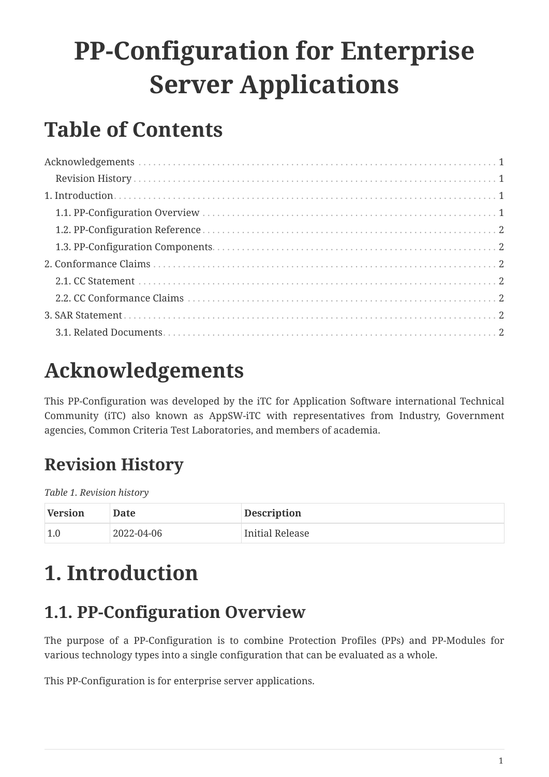# **PP-Configuration for Enterprise Server Applications**

### **Table of Contents**

### <span id="page-0-0"></span>**Acknowledgements**

This PP-Configuration was developed by the iTC for Application Software international Technical Community (iTC) also known as AppSW-iTC with representatives from Industry, Government agencies, Common Criteria Test Laboratories, and members of academia.

### <span id="page-0-1"></span>**Revision History**

*Table 1. Revision history*

| Version | Date       | <b>Description</b> |
|---------|------------|--------------------|
| 1.0     | 2022-04-06 | Initial Release    |

### <span id="page-0-2"></span>**1. Introduction**

#### <span id="page-0-3"></span>**1.1. PP-Configuration Overview**

The purpose of a PP-Configuration is to combine Protection Profiles (PPs) and PP-Modules for various technology types into a single configuration that can be evaluated as a whole.

This PP-Configuration is for enterprise server applications.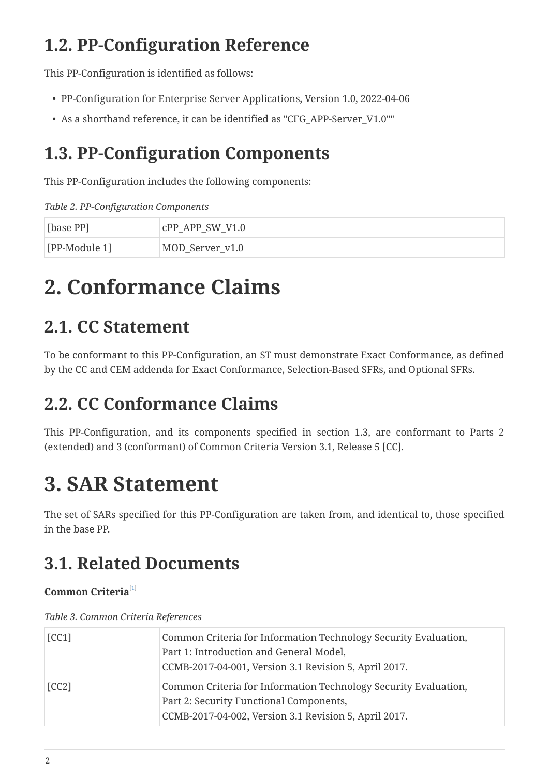#### <span id="page-1-0"></span>**1.2. PP-Configuration Reference**

This PP-Configuration is identified as follows:

- PP-Configuration for Enterprise Server Applications, Version 1.0, 2022-04-06
- As a shorthand reference, it can be identified as "CFG\_APP-Server\_V1.0""

#### <span id="page-1-1"></span>**1.3. PP-Configuration Components**

This PP-Configuration includes the following components:

*Table 2. PP-Configuration Components*

| [base PP]     | $CPP$ $APP$ $SW$ $V1.0$ |
|---------------|-------------------------|
| [PP-Module 1] | MOD_Server_v1.0         |

### <span id="page-1-2"></span>**2. Conformance Claims**

#### <span id="page-1-3"></span>**2.1. CC Statement**

To be conformant to this PP-Configuration, an ST must demonstrate Exact Conformance, as defined by the CC and CEM addenda for Exact Conformance, Selection-Based SFRs, and Optional SFRs.

### <span id="page-1-4"></span>**2.2. CC Conformance Claims**

This PP-Configuration, and its components specified in section 1.3, are conformant to Parts 2 (extended) and 3 (conformant) of Common Criteria Version 3.1, Release 5 [CC].

## <span id="page-1-5"></span>**3. SAR Statement**

The set of SARs specified for this PP-Configuration are taken from, and identical to, those specified in the base PP.

### <span id="page-1-6"></span>**3.1. Related Documents**

#### <span id="page-1-7"></span>**Common Criteria**[[1\]](#page-2-0)

*Table 3. Common Criteria References*

| [CC1] | Common Criteria for Information Technology Security Evaluation,<br>Part 1: Introduction and General Model,<br>CCMB-2017-04-001, Version 3.1 Revision 5, April 2017. |
|-------|---------------------------------------------------------------------------------------------------------------------------------------------------------------------|
| [CC2] | Common Criteria for Information Technology Security Evaluation,<br>Part 2: Security Functional Components,<br>CCMB-2017-04-002, Version 3.1 Revision 5, April 2017. |